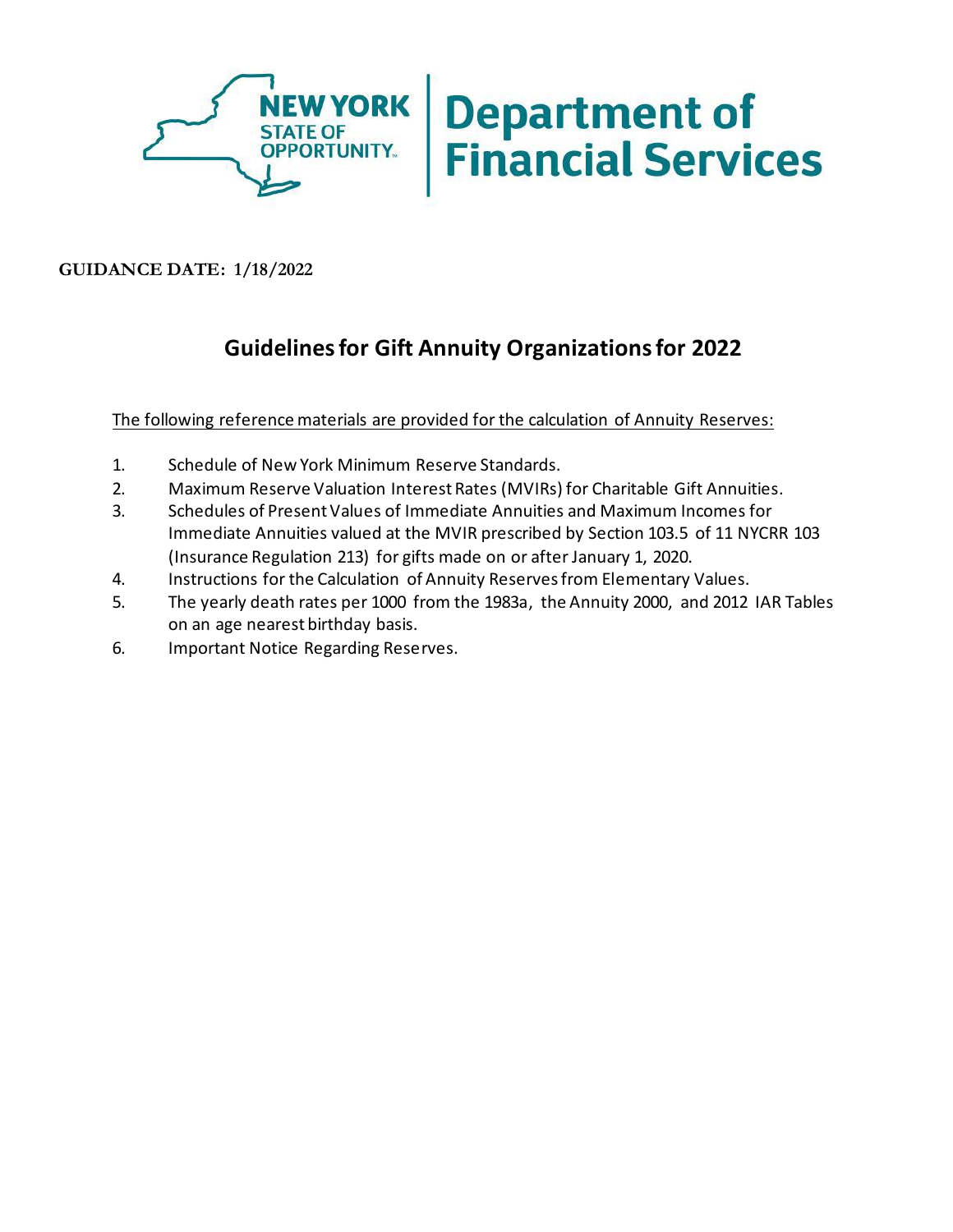

**GUIDANCE DATE: 1/18/2022**

## **Guidelines for Gift Annuity Organizations for 2022**

The following reference materials are provided for the calculation of Annuity Reserves:

- 1. Schedule of New York Minimum Reserve Standards.
- 2. Maximum Reserve Valuation Interest Rates (MVIRs) for Charitable Gift Annuities.
- 3. Schedules of Present Values of Immediate Annuities and Maximum Incomes for Immediate Annuities valued at the MVIR prescribed by Section 103.5 of 11 NYCRR 103 (Insurance Regulation 213) for gifts made on or after January 1, 2020.
- 4. Instructions for the Calculation of Annuity Reserves from Elementary Values.
- 5. The yearly death rates per 1000 from the 1983a, the Annuity 2000, and 2012 IAR Tables on an age nearest birthday basis.
- 6. Important Notice Regarding Reserves.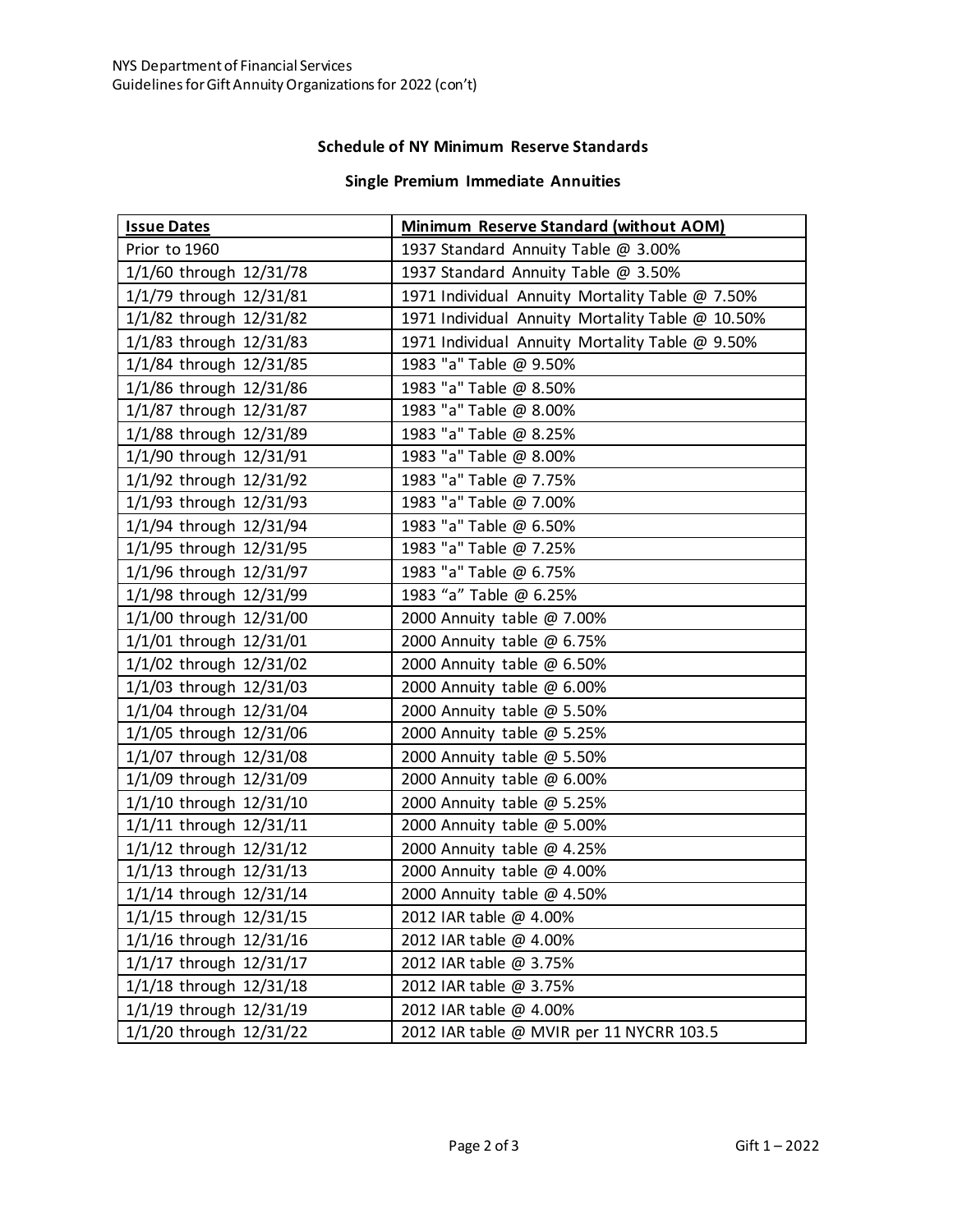## **Schedule of NY Minimum Reserve Standards**

## **Single Premium Immediate Annuities**

| <b>Issue Dates</b>      | Minimum Reserve Standard (without AOM)           |
|-------------------------|--------------------------------------------------|
| Prior to 1960           | 1937 Standard Annuity Table @ 3.00%              |
| 1/1/60 through 12/31/78 | 1937 Standard Annuity Table @ 3.50%              |
| 1/1/79 through 12/31/81 | 1971 Individual Annuity Mortality Table @ 7.50%  |
| 1/1/82 through 12/31/82 | 1971 Individual Annuity Mortality Table @ 10.50% |
| 1/1/83 through 12/31/83 | 1971 Individual Annuity Mortality Table @ 9.50%  |
| 1/1/84 through 12/31/85 | 1983 "a" Table @ 9.50%                           |
| 1/1/86 through 12/31/86 | 1983 "a" Table @ 8.50%                           |
| 1/1/87 through 12/31/87 | 1983 "a" Table @ 8.00%                           |
| 1/1/88 through 12/31/89 | 1983 "a" Table @ 8.25%                           |
| 1/1/90 through 12/31/91 | 1983 "a" Table @ 8.00%                           |
| 1/1/92 through 12/31/92 | 1983 "a" Table @ 7.75%                           |
| 1/1/93 through 12/31/93 | 1983 "a" Table @ 7.00%                           |
| 1/1/94 through 12/31/94 | 1983 "a" Table @ 6.50%                           |
| 1/1/95 through 12/31/95 | 1983 "a" Table @ 7.25%                           |
| 1/1/96 through 12/31/97 | 1983 "a" Table @ 6.75%                           |
| 1/1/98 through 12/31/99 | 1983 "a" Table @ 6.25%                           |
| 1/1/00 through 12/31/00 | 2000 Annuity table @ 7.00%                       |
| 1/1/01 through 12/31/01 | 2000 Annuity table @ 6.75%                       |
| 1/1/02 through 12/31/02 | 2000 Annuity table @ 6.50%                       |
| 1/1/03 through 12/31/03 | 2000 Annuity table @ 6.00%                       |
| 1/1/04 through 12/31/04 | 2000 Annuity table @ 5.50%                       |
| 1/1/05 through 12/31/06 | 2000 Annuity table @ 5.25%                       |
| 1/1/07 through 12/31/08 | 2000 Annuity table @ 5.50%                       |
| 1/1/09 through 12/31/09 | 2000 Annuity table @ 6.00%                       |
| 1/1/10 through 12/31/10 | 2000 Annuity table @ 5.25%                       |
| 1/1/11 through 12/31/11 | 2000 Annuity table @ 5.00%                       |
| 1/1/12 through 12/31/12 | 2000 Annuity table @ 4.25%                       |
| 1/1/13 through 12/31/13 | 2000 Annuity table @ 4.00%                       |
| 1/1/14 through 12/31/14 | 2000 Annuity table @ 4.50%                       |
| 1/1/15 through 12/31/15 | 2012 IAR table @ 4.00%                           |
| 1/1/16 through 12/31/16 | 2012 IAR table @ 4.00%                           |
| 1/1/17 through 12/31/17 | 2012 IAR table @ 3.75%                           |
| 1/1/18 through 12/31/18 | 2012 IAR table @ 3.75%                           |
| 1/1/19 through 12/31/19 | 2012 IAR table @ 4.00%                           |
| 1/1/20 through 12/31/22 | 2012 IAR table @ MVIR per 11 NYCRR 103.5         |